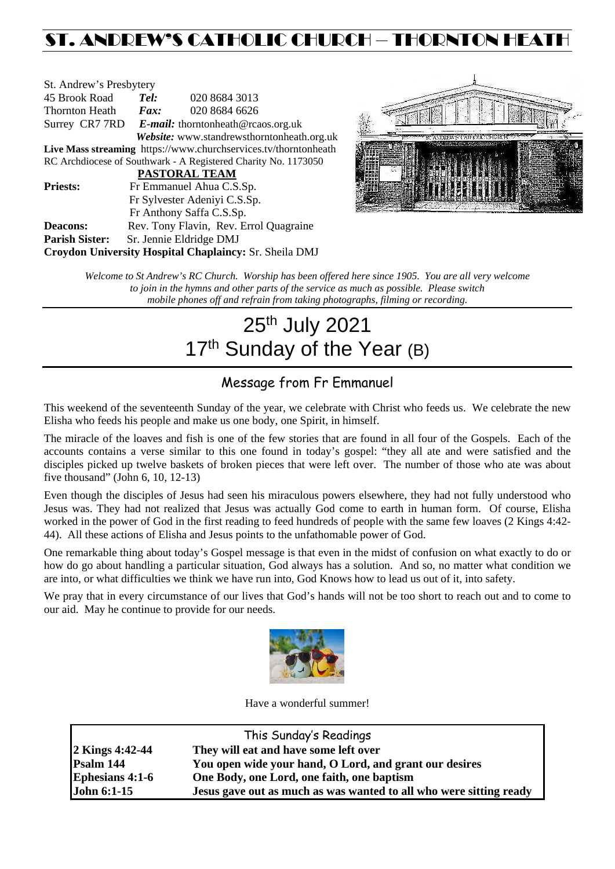## ST. ANDREW'S CATHOLIC CHURCH – THORNTON HEATH

| St. Andrew's Presbytery                                         |                                                   |                          |                                            |  |  |
|-----------------------------------------------------------------|---------------------------------------------------|--------------------------|--------------------------------------------|--|--|
| 45 Brook Road                                                   | Tel:                                              |                          | 020 8684 3013                              |  |  |
| Thornton Heath                                                  | Fax:                                              |                          | 020 8684 6626                              |  |  |
|                                                                 | Surrey CR7 7RD E-mail: thorntonheath@rcaos.org.uk |                          |                                            |  |  |
|                                                                 |                                                   |                          | Website: www.standrewsthorntonheath.org.uk |  |  |
| Live Mass streaming https://www.churchservices.tv/thorntonheath |                                                   |                          |                                            |  |  |
| RC Archdiocese of Southwark - A Registered Charity No. 1173050  |                                                   |                          |                                            |  |  |
| <b>PASTORAL TEAM</b>                                            |                                                   |                          |                                            |  |  |
| <b>Priests:</b>                                                 | Fr Emmanuel Ahua C.S.Sp.                          |                          |                                            |  |  |
|                                                                 | Fr Sylvester Adeniyi C.S.Sp.                      |                          |                                            |  |  |
|                                                                 |                                                   | Fr Anthony Saffa C.S.Sp. |                                            |  |  |
| Deacons:                                                        |                                                   |                          | Rev. Tony Flavin, Rev. Errol Quagraine     |  |  |
| <b>Parish Sister:</b>                                           |                                                   | Sr. Jennie Eldridge DMJ  |                                            |  |  |
| Croydon University Hospital Chaplaincy: Sr. Sheila DMJ          |                                                   |                          |                                            |  |  |



*Welcome to St Andrew's RC Church. Worship has been offered here since 1905. You are all very welcome to join in the hymns and other parts of the service as much as possible. Please switch mobile phones off and refrain from taking photographs, filming or recording.*

# 25th July 2021 17<sup>th</sup> Sunday of the Year (B)

## Message from Fr Emmanuel

This weekend of the seventeenth Sunday of the year, we celebrate with Christ who feeds us. We celebrate the new Elisha who feeds his people and make us one body, one Spirit, in himself.

The miracle of the loaves and fish is one of the few stories that are found in all four of the Gospels. Each of the accounts contains a verse similar to this one found in today's gospel: "they all ate and were satisfied and the disciples picked up twelve baskets of broken pieces that were left over. The number of those who ate was about five thousand" (John 6, 10, 12-13)

Even though the disciples of Jesus had seen his miraculous powers elsewhere, they had not fully understood who Jesus was. They had not realized that Jesus was actually God come to earth in human form. Of course, Elisha worked in the power of God in the first reading to feed hundreds of people with the same few loaves (2 Kings 4:42- 44). All these actions of Elisha and Jesus points to the unfathomable power of God.

One remarkable thing about today's Gospel message is that even in the midst of confusion on what exactly to do or how do go about handling a particular situation, God always has a solution. And so, no matter what condition we are into, or what difficulties we think we have run into, God Knows how to lead us out of it, into safety.

We pray that in every circumstance of our lives that God's hands will not be too short to reach out and to come to our aid. May he continue to provide for our needs.



Have a wonderful summer!

| This Sunday's Readings |                                                                    |  |  |
|------------------------|--------------------------------------------------------------------|--|--|
| <b>2 Kings 4:42-44</b> | They will eat and have some left over                              |  |  |
| Psalm 144              | You open wide your hand, O Lord, and grant our desires             |  |  |
| <b>Ephesians 4:1-6</b> | One Body, one Lord, one faith, one baptism                         |  |  |
| <b>John 6:1-15</b>     | Jesus gave out as much as was wanted to all who were sitting ready |  |  |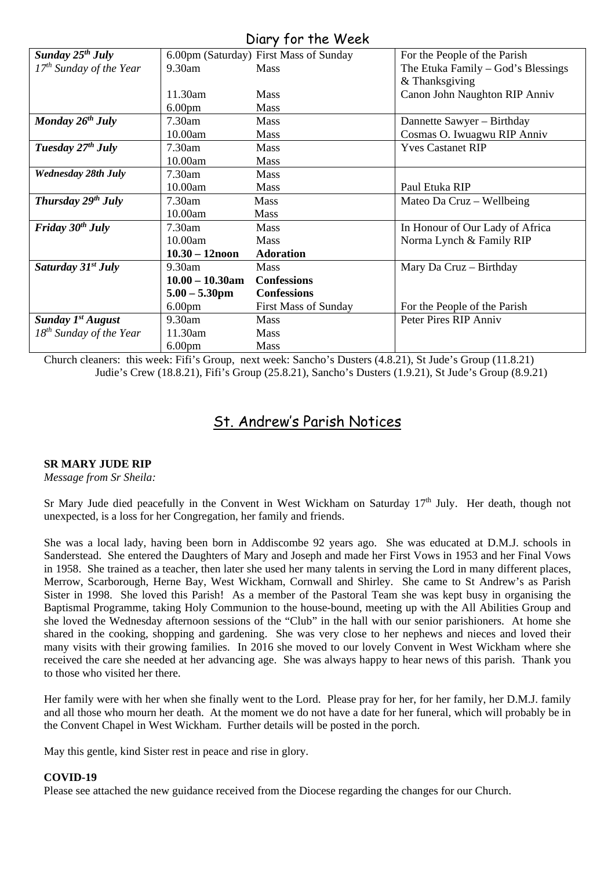| UNIY JUI ING WEGN              |                         |                                        |                                    |  |  |  |
|--------------------------------|-------------------------|----------------------------------------|------------------------------------|--|--|--|
| Sunday $25^{th}$ July          |                         | 6.00pm (Saturday) First Mass of Sunday | For the People of the Parish       |  |  |  |
| $17th$ Sunday of the Year      | $9.30$ am               | <b>Mass</b>                            | The Etuka Family – God's Blessings |  |  |  |
|                                |                         |                                        | & Thanksgiving                     |  |  |  |
|                                | 11.30am                 | <b>Mass</b>                            | Canon John Naughton RIP Anniv      |  |  |  |
|                                | 6.00 <sub>pm</sub>      | <b>Mass</b>                            |                                    |  |  |  |
| Monday $26^{th}$ July          | 7.30am                  | <b>Mass</b>                            | Dannette Sawyer - Birthday         |  |  |  |
|                                | 10.00am                 | <b>Mass</b>                            | Cosmas O. Iwuagwu RIP Anniv        |  |  |  |
| Tuesday $27th$ July            | 7.30am                  | <b>Mass</b>                            | <b>Yves Castanet RIP</b>           |  |  |  |
|                                | 10.00am                 | <b>Mass</b>                            |                                    |  |  |  |
| <b>Wednesday 28th July</b>     | 7.30am                  | <b>Mass</b>                            |                                    |  |  |  |
|                                | 10.00am                 | <b>Mass</b>                            | Paul Etuka RIP                     |  |  |  |
| Thursday $29^{th}$ July        | 7.30am                  | <b>Mass</b>                            | Mateo Da Cruz - Wellbeing          |  |  |  |
|                                | 10.00am                 | Mass                                   |                                    |  |  |  |
| Friday $30th$ July             | $7.30$ am               | <b>Mass</b>                            | In Honour of Our Lady of Africa    |  |  |  |
|                                | 10.00am                 | Mass                                   | Norma Lynch & Family RIP           |  |  |  |
|                                | $10.30 - 12$ noon       | <b>Adoration</b>                       |                                    |  |  |  |
| Saturday 31 <sup>st</sup> July | 9.30am                  | Mass                                   | Mary Da Cruz - Birthday            |  |  |  |
|                                | $10.00 - 10.30$ am      | <b>Confessions</b>                     |                                    |  |  |  |
|                                | $5.00 - 5.30 \text{pm}$ | <b>Confessions</b>                     |                                    |  |  |  |
|                                | 6.00 <sub>pm</sub>      | <b>First Mass of Sunday</b>            | For the People of the Parish       |  |  |  |
| <b>Sunday 1st August</b>       | 9.30am                  | <b>Mass</b>                            | Peter Pires RIP Anniv              |  |  |  |
| $18^{th}$ Sunday of the Year   | 11.30am                 | <b>Mass</b>                            |                                    |  |  |  |
|                                | 6.00 <sub>pm</sub>      | Mass                                   |                                    |  |  |  |

Diary for the Week

Church cleaners: this week: Fifi's Group, next week: Sancho's Dusters (4.8.21), St Jude's Group (11.8.21) Judie's Crew (18.8.21), Fifi's Group (25.8.21), Sancho's Dusters (1.9.21), St Jude's Group (8.9.21)

### St. Andrew's Parish Notices

#### **SR MARY JUDE RIP**

*Message from Sr Sheila:*

Sr Mary Jude died peacefully in the Convent in West Wickham on Saturday  $17<sup>th</sup>$  July. Her death, though not unexpected, is a loss for her Congregation, her family and friends.

She was a local lady, having been born in Addiscombe 92 years ago. She was educated at D.M.J. schools in Sanderstead. She entered the Daughters of Mary and Joseph and made her First Vows in 1953 and her Final Vows in 1958. She trained as a teacher, then later she used her many talents in serving the Lord in many different places, Merrow, Scarborough, Herne Bay, West Wickham, Cornwall and Shirley. She came to St Andrew's as Parish Sister in 1998. She loved this Parish! As a member of the Pastoral Team she was kept busy in organising the Baptismal Programme, taking Holy Communion to the house-bound, meeting up with the All Abilities Group and she loved the Wednesday afternoon sessions of the "Club" in the hall with our senior parishioners. At home she shared in the cooking, shopping and gardening. She was very close to her nephews and nieces and loved their many visits with their growing families. In 2016 she moved to our lovely Convent in West Wickham where she received the care she needed at her advancing age. She was always happy to hear news of this parish. Thank you to those who visited her there.

Her family were with her when she finally went to the Lord. Please pray for her, for her family, her D.M.J. family and all those who mourn her death. At the moment we do not have a date for her funeral, which will probably be in the Convent Chapel in West Wickham. Further details will be posted in the porch.

May this gentle, kind Sister rest in peace and rise in glory.

#### **COVID-19**

Please see attached the new guidance received from the Diocese regarding the changes for our Church.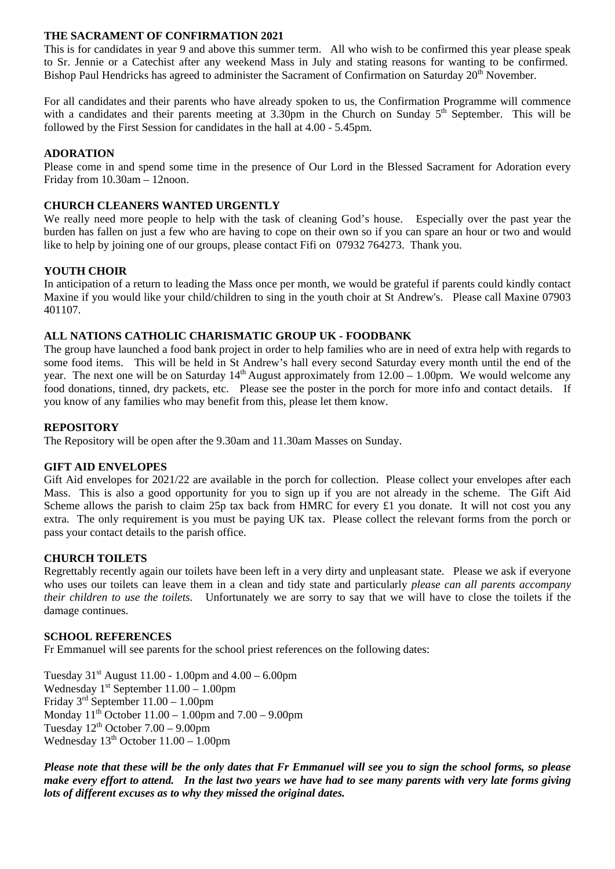#### **THE SACRAMENT OF CONFIRMATION 2021**

This is for candidates in year 9 and above this summer term. All who wish to be confirmed this year please speak to Sr. Jennie or a Catechist after any weekend Mass in July and stating reasons for wanting to be confirmed. Bishop Paul Hendricks has agreed to administer the Sacrament of Confirmation on Saturday 20<sup>th</sup> November.

For all candidates and their parents who have already spoken to us, the Confirmation Programme will commence with a candidates and their parents meeting at  $3.30 \text{pm}$  in the Church on Sunday  $5^{\text{th}}$  September. This will be followed by the First Session for candidates in the hall at 4.00 - 5.45pm.

#### **ADORATION**

Please come in and spend some time in the presence of Our Lord in the Blessed Sacrament for Adoration every Friday from 10.30am – 12noon.

#### **CHURCH CLEANERS WANTED URGENTLY**

We really need more people to help with the task of cleaning God's house. Especially over the past year the burden has fallen on just a few who are having to cope on their own so if you can spare an hour or two and would like to help by joining one of our groups, please contact Fifi on 07932 764273. Thank you.

#### **YOUTH CHOIR**

In anticipation of a return to leading the Mass once per month, we would be grateful if parents could kindly contact Maxine if you would like your child/children to sing in the youth choir at St Andrew's. Please call Maxine 07903 401107.

#### **ALL NATIONS CATHOLIC CHARISMATIC GROUP UK - FOODBANK**

The group have launched a food bank project in order to help families who are in need of extra help with regards to some food items. This will be held in St Andrew's hall every second Saturday every month until the end of the year. The next one will be on Saturday  $14<sup>th</sup>$  August approximately from  $12.00 - 1.00$ pm. We would welcome any food donations, tinned, dry packets, etc. Please see the poster in the porch for more info and contact details. If you know of any families who may benefit from this, please let them know.

#### **REPOSITORY**

The Repository will be open after the 9.30am and 11.30am Masses on Sunday.

#### **GIFT AID ENVELOPES**

Gift Aid envelopes for 2021/22 are available in the porch for collection. Please collect your envelopes after each Mass. This is also a good opportunity for you to sign up if you are not already in the scheme. The Gift Aid Scheme allows the parish to claim 25p tax back from HMRC for every £1 you donate. It will not cost you any extra. The only requirement is you must be paying UK tax. Please collect the relevant forms from the porch or pass your contact details to the parish office.

#### **CHURCH TOILETS**

Regrettably recently again our toilets have been left in a very dirty and unpleasant state. Please we ask if everyone who uses our toilets can leave them in a clean and tidy state and particularly *please can all parents accompany their children to use the toilets.* Unfortunately we are sorry to say that we will have to close the toilets if the damage continues.

#### **SCHOOL REFERENCES**

Fr Emmanuel will see parents for the school priest references on the following dates:

Tuesday  $31^{st}$  August 11.00 - 1.00pm and  $4.00 - 6.00$ pm Wednesday  $1^{st}$  September  $11.00 - 1.00$ pm Friday 3rd September 11.00 – 1.00pm Monday  $11^{th}$  October  $11.00 - 1.00$  pm and  $7.00 - 9.00$  pm Tuesday  $12<sup>th</sup>$  October  $7.00 - 9.00$ pm Wednesday  $13<sup>th</sup>$  October  $11.00 - 1.00$ pm

*Please note that these will be the only dates that Fr Emmanuel will see you to sign the school forms, so please make every effort to attend. In the last two years we have had to see many parents with very late forms giving lots of different excuses as to why they missed the original dates.*